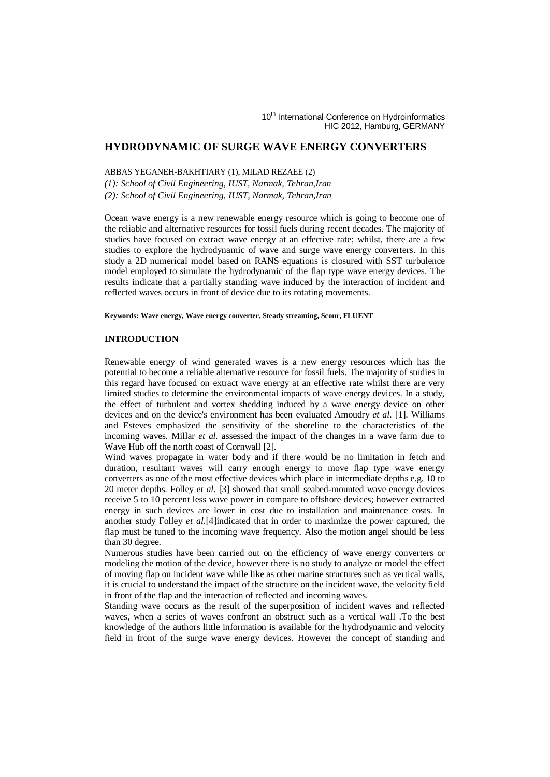# **HYDRODYNAMIC OF SURGE WAVE ENERGY CONVERTERS**

ABBAS YEGANEH-BAKHTIARY (1), MILAD REZAEE (2)

*(1): School of Civil Engineering, IUST, Narmak, Tehran,Iran (2): School of Civil Engineering, IUST, Narmak, Tehran,Iran*

Ocean wave energy is a new renewable energy resource which is going to become one of the reliable and alternative resources for fossil fuels during recent decades. The majority of studies have focused on extract wave energy at an effective rate; whilst, there are a few studies to explore the hydrodynamic of wave and surge wave energy converters. In this study a 2D numerical model based on RANS equations is closured with SST turbulence model employed to simulate the hydrodynamic of the flap type wave energy devices. The results indicate that a partially standing wave induced by the interaction of incident and reflected waves occurs in front of device due to its rotating movements.

#### **Keywords: Wave energy, Wave energy converter, Steady streaming, Scour, FLUENT**

#### **INTRODUCTION**

Renewable energy of wind generated waves is a new energy resources which has the potential to become a reliable alternative resource for fossil fuels. The majority of studies in this regard have focused on extract wave energy at an effective rate whilst there are very limited studies to determine the environmental impacts of wave energy devices. In a study, the effect of turbulent and vortex shedding induced by a wave energy device on other devices and on the device's environment has been evaluated Amoudry *et al*. [1]. Williams and Esteves emphasized the sensitivity of the shoreline to the characteristics of the incoming waves. Millar *et al.* assessed the impact of the changes in a wave farm due to Wave Hub off the north coast of Cornwall [2].

Wind waves propagate in water body and if there would be no limitation in fetch and duration, resultant waves will carry enough energy to move flap type wave energy converters as one of the most effective devices which place in intermediate depths e.g. 10 to 20 meter depths. Folley *et al*. [3] showed that small seabed-mounted wave energy devices receive 5 to 10 percent less wave power in compare to offshore devices; however extracted energy in such devices are lower in cost due to installation and maintenance costs. In another study Folley *et al*.[4]indicated that in order to maximize the power captured, the flap must be tuned to the incoming wave frequency. Also the motion angel should be less than 30 degree.

Numerous studies have been carried out on the efficiency of wave energy converters or modeling the motion of the device, however there is no study to analyze or model the effect of moving flap on incident wave while like as other marine structures such as vertical walls, it is crucial to understand the impact of the structure on the incident wave, the velocity field in front of the flap and the interaction of reflected and incoming waves.

Standing wave occurs as the result of the superposition of incident waves and reflected waves, when a series of waves confront an obstruct such as a vertical wall .To the best knowledge of the authors little information is available for the hydrodynamic and velocity field in front of the surge wave energy devices. However the concept of standing and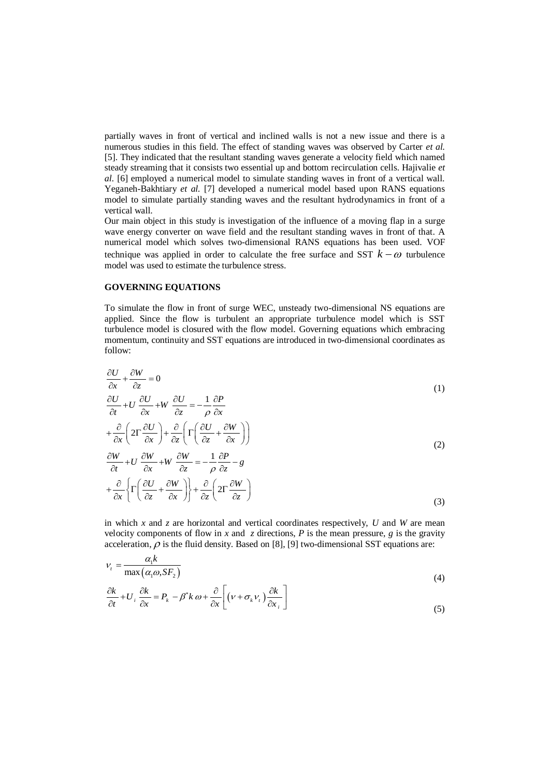partially waves in front of vertical and inclined walls is not a new issue and there is a numerous studies in this field. The effect of standing waves was observed by Carter *et al.* [5]. They indicated that the resultant standing waves generate a velocity field which named steady streaming that it consists two essential up and bottom recirculation cells. Hajivalie *et al.* [6] employed a numerical model to simulate standing waves in front of a vertical wall. Yeganeh-Bakhtiary *et al.* [7] developed a numerical model based upon RANS equations model to simulate partially standing waves and the resultant hydrodynamics in front of a vertical wall.

Our main object in this study is investigation of the influence of a moving flap in a surge wave energy converter on wave field and the resultant standing waves in front of that. A numerical model which solves two-dimensional RANS equations has been used. VOF technique was applied in order to calculate the free surface and SST  $k - \omega$  turbulence model was used to estimate the turbulence stress.

### **GOVERNING EQUATIONS**

To simulate the flow in front of surge WEC, unsteady two-dimensional NS equations are applied. Since the flow is turbulent an appropriate turbulence model which is SST turbulence model is closured with the flow model. Governing equations which embracing momentum, continuity and SST equations are introduced in two-dimensional coordinates as follow:

$$
\frac{\partial U}{\partial x} + \frac{\partial W}{\partial z} = 0
$$
\n
$$
\frac{\partial U}{\partial t} + U \frac{\partial U}{\partial x} + W \frac{\partial U}{\partial z} = -\frac{1}{\rho} \frac{\partial P}{\partial x}
$$
\n(1)

$$
+\frac{\partial}{\partial x}\left(2\Gamma\frac{\partial U}{\partial x}\right)+\frac{\partial}{\partial z}\left(\Gamma\left(\frac{\partial U}{\partial z}+\frac{\partial W}{\partial x}\right)\right)
$$
  

$$
\frac{\partial W}{\partial t}+U\frac{\partial W}{\partial x}+W\frac{\partial W}{\partial z}=-\frac{1}{2}\frac{\partial P}{\partial z}-g
$$
 (2)

$$
\frac{\partial W}{\partial t} + U \frac{\partial W}{\partial x} + W \frac{\partial W}{\partial z} = -\frac{1}{\rho} \frac{\partial P}{\partial z} - g
$$
  
+ 
$$
\frac{\partial}{\partial x} \left\{ \Gamma \left( \frac{\partial U}{\partial z} + \frac{\partial W}{\partial x} \right) \right\} + \frac{\partial}{\partial z} \left( 2\Gamma \frac{\partial W}{\partial z} \right)
$$
(3)

in which  $x$  and  $z$  are horizontal and vertical coordinates respectively,  $U$  and  $W$  are mean velocity components of flow in *x* and *z* directions, *P* is the mean pressure, *g* is the gravity acceleration,  $\rho$  is the fluid density. Based on [8], [9] two-dimensional SST equations are:

$$
v_t = \frac{\alpha_1 k}{\max(\alpha_1 \omega, S F_2)}\tag{4}
$$

$$
\max(\alpha_i \omega, s r_2)
$$
\n
$$
\frac{\partial k}{\partial t} + U_i \frac{\partial k}{\partial x} = P_k - \beta^* k \omega + \frac{\partial}{\partial x} \left[ \left( v + \sigma_k v_i \right) \frac{\partial k}{\partial x_i} \right]
$$
\n
$$
\tag{5}
$$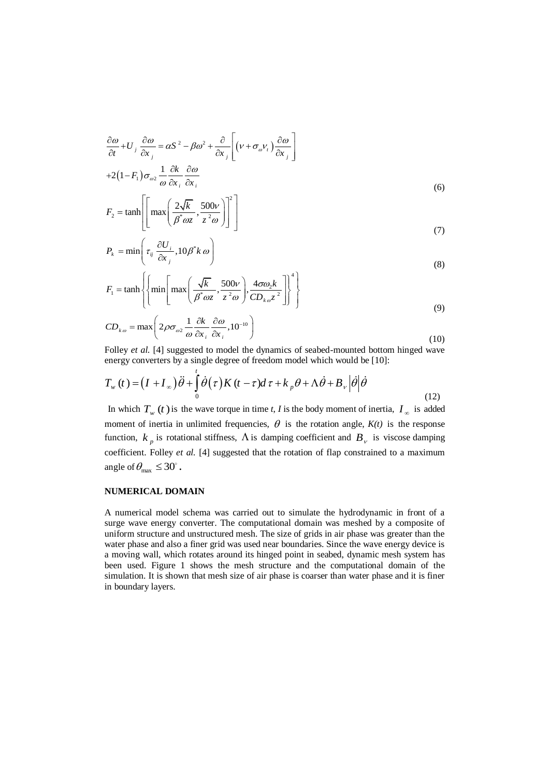$$
\frac{\partial \omega}{\partial t} + U_j \frac{\partial \omega}{\partial x_j} = \alpha S^2 - \beta \omega^2 + \frac{\partial}{\partial x_j} \left[ \left( v + \sigma_{\omega} v_t \right) \frac{\partial \omega}{\partial x_j} \right]
$$
  
+2\left(1 - F\_1\right) \sigma\_{\omega\_2} \frac{1}{\omega} \frac{\partial k}{\partial x\_i} \frac{\partial \omega}{\partial x\_i} \tag{6}

$$
F_2 = \tanh\left[\left[\max\left(\frac{2\sqrt{k}}{\beta^* \omega z}, \frac{500\nu}{z^2 \omega}\right)\right]^2\right]
$$
\n(3)

$$
P_k = \min\left(\tau_{ij} \frac{\partial U_i}{\partial x_j}, 10\beta^* k \omega\right)
$$
\n(8)

$$
F_1 = \tanh\left\{\left\{\min\left[\max\left(\frac{\sqrt{k}}{\beta^*\omega z}, \frac{500\nu}{z^2\omega}\right), \frac{4\sigma\omega_2 k}{CD_{k\omega}z^2}\right]\right\}^4\right\}
$$
(8)

$$
CD_{k\omega} = \max\left(2\rho\sigma_{\omega^2}\frac{1}{\omega}\frac{\partial k}{\partial x_i}\frac{\partial \omega}{\partial x_i}, 10^{-10}\right)
$$
\n(9)

Folley *et al.* [4] suggested to model the dynamics of seabed-mounted bottom hinged wave

roney *et al.* [4] suggested to float the dynamics of seabed-induced bottom-  
energy converts by a single degree of freedom model which would be [10]:  

$$
T_w(t) = (I + I_\infty) \ddot{\theta} + \int_0^t \dot{\theta}(\tau) K(t - \tau) d\tau + k_p \theta + \Lambda \dot{\theta} + B_v |\dot{\theta}| \dot{\theta}
$$
(12)

In which  $T_w(t)$  is the wave torque in time *t*, *I* is the body moment of inertia,  $I_{\infty}$  is added moment of inertia in unlimited frequencies,  $\theta$  is the rotation angle,  $K(t)$  is the response function,  $k_p$  is rotational stiffness,  $\Lambda$  is damping coefficient and  $B_\nu$  is viscose damping coefficient. Folley *et al.* [4] suggested that the rotation of flap constrained to a maximum angle of  $\theta_{\text{max}} \leq 30^{\circ}$ .

# **NUMERICAL DOMAIN**

A numerical model schema was carried out to simulate the hydrodynamic in front of a surge wave energy converter. The computational domain was meshed by a composite of uniform structure and unstructured mesh. The size of grids in air phase was greater than the water phase and also a finer grid was used near boundaries. Since the wave energy device is a moving wall, which rotates around its hinged point in seabed, dynamic mesh system has been used. Figure 1 shows the mesh structure and the computational domain of the simulation. It is shown that mesh size of air phase is coarser than water phase and it is finer in boundary layers.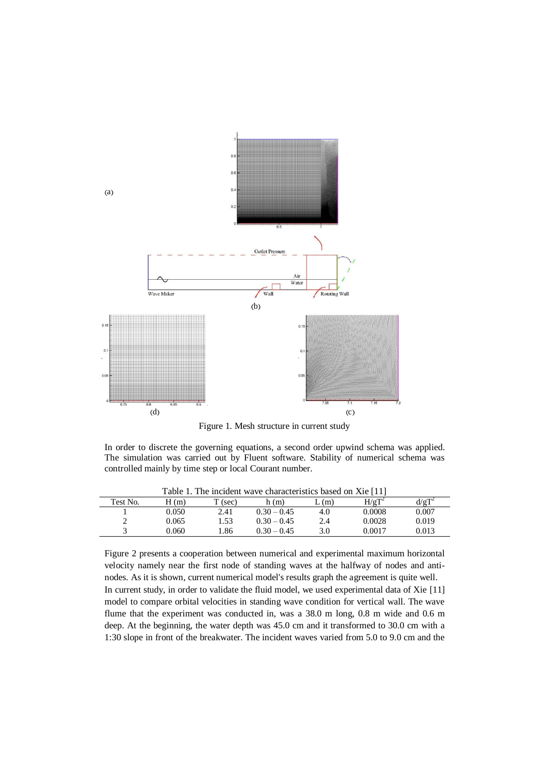

Figure 1. Mesh structure in current study

In order to discrete the governing equations, a second order upwind schema was applied. The simulation was carried out by Fluent software. Stability of numerical schema was controlled mainly by time step or local Courant number.

| Table 1. The incident wave characteristics based on Xie [11] |       |         |               |     |          |       |
|--------------------------------------------------------------|-------|---------|---------------|-----|----------|-------|
| Test No.                                                     | H(m)  | T (sec) | h(m)          | (m) | $H/gT^2$ |       |
|                                                              | 0.050 | 2.41    | $0.30 - 0.45$ | 4.0 | 0.0008   | 0.007 |
|                                                              | 0.065 | 1.53    | $0.30 - 0.45$ | 2.4 | 0.0028   | 0.019 |
|                                                              | 0.060 | l.86    | $0.30 - 0.45$ | 3.0 | 0.0017   | 0.013 |

Figure 2 presents a cooperation between numerical and experimental maximum horizontal velocity namely near the first node of standing waves at the halfway of nodes and antinodes. As it is shown, current numerical model's results graph the agreement is quite well. In current study, in order to validate the fluid model, we used experimental data of Xie [11] model to compare orbital velocities in standing wave condition for vertical wall. The wave flume that the experiment was conducted in, was a 38.0 m long, 0.8 m wide and 0.6 m deep. At the beginning, the water depth was 45.0 cm and it transformed to 30.0 cm with a 1:30 slope in front of the breakwater. The incident waves varied from 5.0 to 9.0 cm and the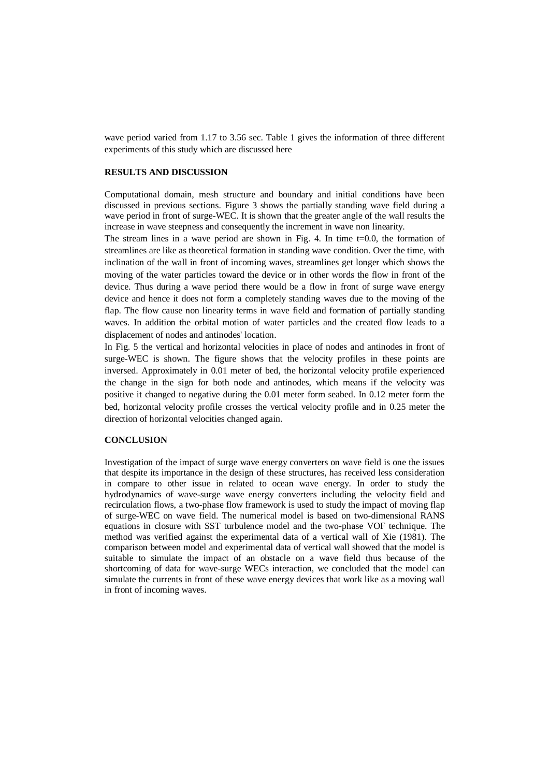wave period varied from 1.17 to 3.56 sec. Table 1 gives the information of three different experiments of this study which are discussed here

### **RESULTS AND DISCUSSION**

Computational domain, mesh structure and boundary and initial conditions have been discussed in previous sections. Figure 3 shows the partially standing wave field during a wave period in front of surge-WEC. It is shown that the greater angle of the wall results the increase in wave steepness and consequently the increment in wave non linearity.

The stream lines in a wave period are shown in Fig. 4. In time t=0.0, the formation of streamlines are like as theoretical formation in standing wave condition. Over the time, with inclination of the wall in front of incoming waves, streamlines get longer which shows the moving of the water particles toward the device or in other words the flow in front of the device. Thus during a wave period there would be a flow in front of surge wave energy device and hence it does not form a completely standing waves due to the moving of the flap. The flow cause non linearity terms in wave field and formation of partially standing waves. In addition the orbital motion of water particles and the created flow leads to a displacement of nodes and antinodes' location.

In Fig. 5 the vertical and horizontal velocities in place of nodes and antinodes in front of surge-WEC is shown. The figure shows that the velocity profiles in these points are inversed. Approximately in 0.01 meter of bed, the horizontal velocity profile experienced the change in the sign for both node and antinodes, which means if the velocity was positive it changed to negative during the 0.01 meter form seabed. In 0.12 meter form the bed, horizontal velocity profile crosses the vertical velocity profile and in 0.25 meter the direction of horizontal velocities changed again.

#### **CONCLUSION**

Investigation of the impact of surge wave energy converters on wave field is one the issues that despite its importance in the design of these structures, has received less consideration in compare to other issue in related to ocean wave energy. In order to study the hydrodynamics of wave-surge wave energy converters including the velocity field and recirculation flows, a two-phase flow framework is used to study the impact of moving flap of surge-WEC on wave field. The numerical model is based on two-dimensional RANS equations in closure with SST turbulence model and the two-phase VOF technique. The method was verified against the experimental data of a vertical wall of Xie (1981). The comparison between model and experimental data of vertical wall showed that the model is suitable to simulate the impact of an obstacle on a wave field thus because of the shortcoming of data for wave-surge WECs interaction, we concluded that the model can simulate the currents in front of these wave energy devices that work like as a moving wall in front of incoming waves.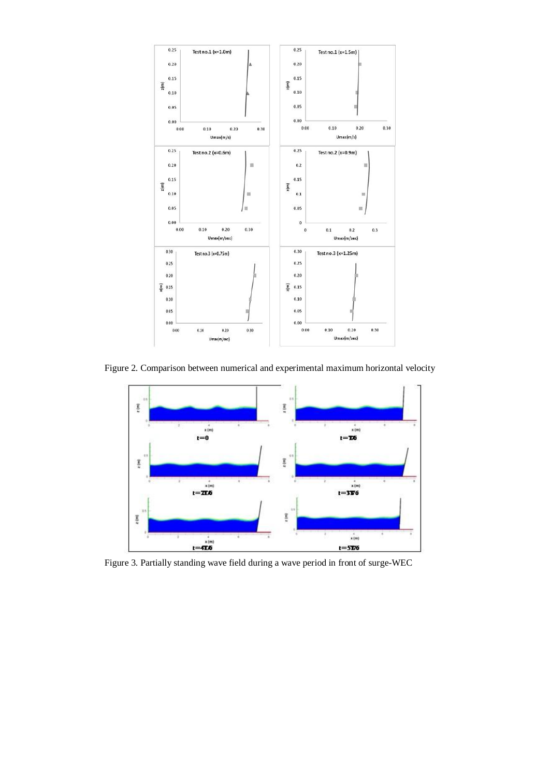

Figure 2. Comparison between numerical and experimental maximum horizontal velocity



Figure 3. Partially standing wave field during a wave period in front of surge-WEC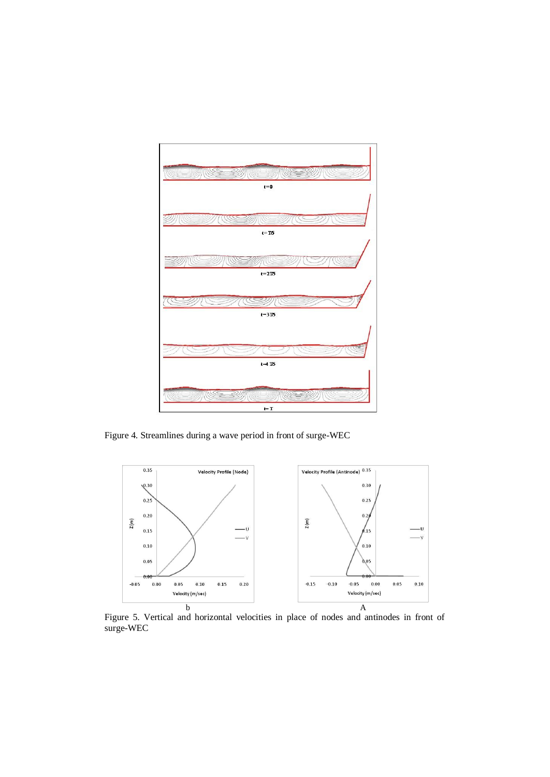

Figure 4. Streamlines during a wave period in front of surge-WEC



Figure 5. Vertical and horizontal velocities in place of nodes and antinodes in front of surge-WEC